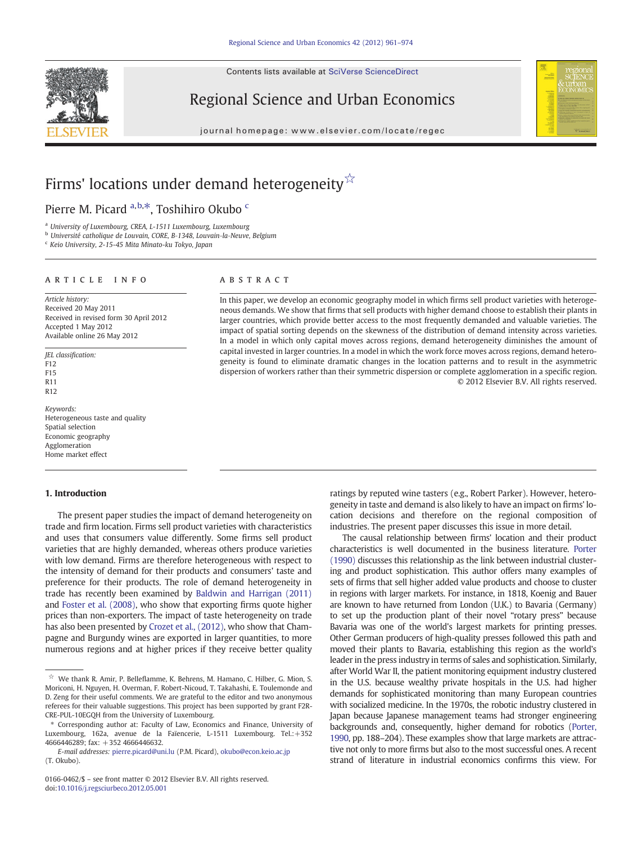Contents lists available at SciVerse ScienceDirect



Regional Science and Urban Economics





# Firms' locations under demand heterogeneity<sup>☆</sup>

## Pierre M. Picard <sup>a, b,\*</sup>, Toshihiro Okubo <sup>c</sup>

<sup>a</sup> University of Luxembourg, CREA, L-1511 Luxembourg, Luxembourg

<sup>b</sup> Université catholique de Louvain, CORE, B‐1348, Louvain‐la‐Neuve, Belgium

<sup>c</sup> Keio University, 2-15-45 Mita Minato-ku Tokyo, Japan

### article info abstract

Article history: Received 20 May 2011 Received in revised form 30 April 2012 Accepted 1 May 2012 Available online 26 May 2012

JEL classification: F12 F15 R11 R12

Keywords: Heterogeneous taste and quality Spatial selection Economic geography Agglomeration Home market effect

#### 1. Introduction

The present paper studies the impact of demand heterogeneity on trade and firm location. Firms sell product varieties with characteristics and uses that consumers value differently. Some firms sell product varieties that are highly demanded, whereas others produce varieties with low demand. Firms are therefore heterogeneous with respect to the intensity of demand for their products and consumers' taste and preference for their products. The role of demand heterogeneity in trade has recently been examined by [Baldwin and Harrigan \(2011\)](#page--1-0) and [Foster et al. \(2008\),](#page--1-0) who show that exporting firms quote higher prices than non-exporters. The impact of taste heterogeneity on trade has also been presented by [Crozet et al., \(2012\),](#page--1-0) who show that Champagne and Burgundy wines are exported in larger quantities, to more numerous regions and at higher prices if they receive better quality

In this paper, we develop an economic geography model in which firms sell product varieties with heterogeneous demands. We show that firms that sell products with higher demand choose to establish their plants in larger countries, which provide better access to the most frequently demanded and valuable varieties. The impact of spatial sorting depends on the skewness of the distribution of demand intensity across varieties. In a model in which only capital moves across regions, demand heterogeneity diminishes the amount of capital invested in larger countries. In a model in which the work force moves across regions, demand heterogeneity is found to eliminate dramatic changes in the location patterns and to result in the asymmetric dispersion of workers rather than their symmetric dispersion or complete agglomeration in a specific region. © 2012 Elsevier B.V. All rights reserved.

> ratings by reputed wine tasters (e.g., Robert Parker). However, heterogeneity in taste and demand is also likely to have an impact on firms' location decisions and therefore on the regional composition of industries. The present paper discusses this issue in more detail.

> The causal relationship between firms' location and their product characteristics is well documented in the business literature. [Porter](#page--1-0) [\(1990\)](#page--1-0) discusses this relationship as the link between industrial clustering and product sophistication. This author offers many examples of sets of firms that sell higher added value products and choose to cluster in regions with larger markets. For instance, in 1818, Koenig and Bauer are known to have returned from London (U.K.) to Bavaria (Germany) to set up the production plant of their novel "rotary press" because Bavaria was one of the world's largest markets for printing presses. Other German producers of high-quality presses followed this path and moved their plants to Bavaria, establishing this region as the world's leader in the press industry in terms of sales and sophistication. Similarly, after World War II, the patient monitoring equipment industry clustered in the U.S. because wealthy private hospitals in the U.S. had higher demands for sophisticated monitoring than many European countries with socialized medicine. In the 1970s, the robotic industry clustered in Japan because Japanese management teams had stronger engineering backgrounds and, consequently, higher demand for robotics [\(Porter,](#page--1-0) [1990,](#page--1-0) pp. 188–204). These examples show that large markets are attractive not only to more firms but also to the most successful ones. A recent strand of literature in industrial economics confirms this view. For

<sup>☆</sup> We thank R. Amir, P. Belleflamme, K. Behrens, M. Hamano, C. Hilber, G. Mion, S. Moriconi, H. Nguyen, H. Overman, F. Robert-Nicoud, T. Takahashi, E. Toulemonde and D. Zeng for their useful comments. We are grateful to the editor and two anonymous referees for their valuable suggestions. This project has been supported by grant F2R-CRE-PUL-10EGQH from the University of Luxembourg.

<sup>⁎</sup> Corresponding author at: Faculty of Law, Economics and Finance, University of Luxembourg, 162a, avenue de la Faïencerie, L-1511 Luxembourg. Tel.:+352 4666446289; fax: +352 4666446632.

E-mail addresses: [pierre.picard@uni.lu](mailto:pierre.picard@uni.lu) (P.M. Picard), [okubo@econ.keio.ac.jp](mailto:okubo@econ.keio.ac.jp) (T. Okubo).

<sup>0166-0462/\$</sup> – see front matter © 2012 Elsevier B.V. All rights reserved. doi:[10.1016/j.regsciurbeco.2012.05.001](http://dx.doi.org/10.1016/j.regsciurbeco.2012.05.001)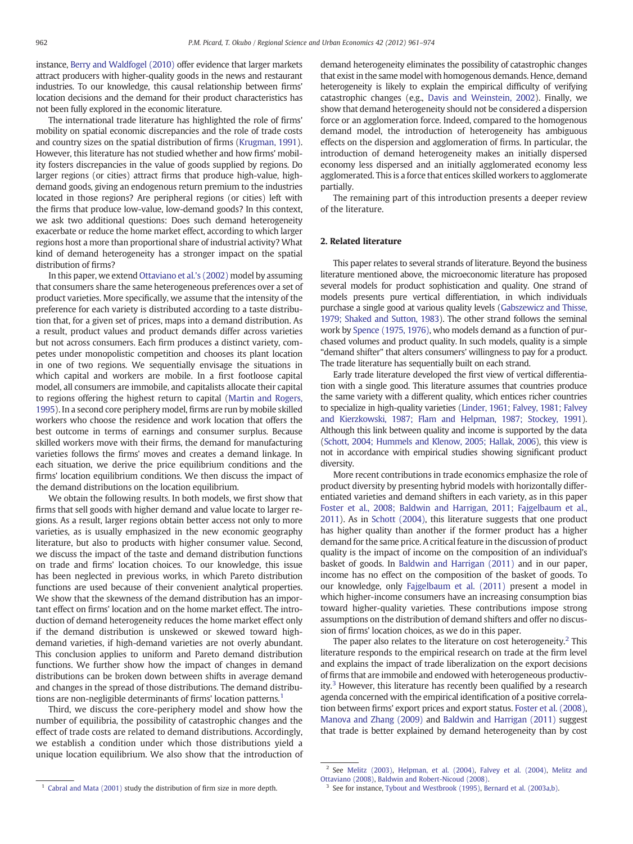instance, [Berry and Waldfogel \(2010\)](#page--1-0) offer evidence that larger markets attract producers with higher-quality goods in the news and restaurant industries. To our knowledge, this causal relationship between firms' location decisions and the demand for their product characteristics has not been fully explored in the economic literature.

The international trade literature has highlighted the role of firms' mobility on spatial economic discrepancies and the role of trade costs and country sizes on the spatial distribution of firms [\(Krugman, 1991\)](#page--1-0). However, this literature has not studied whether and how firms' mobility fosters discrepancies in the value of goods supplied by regions. Do larger regions (or cities) attract firms that produce high-value, highdemand goods, giving an endogenous return premium to the industries located in those regions? Are peripheral regions (or cities) left with the firms that produce low-value, low-demand goods? In this context, we ask two additional questions: Does such demand heterogeneity exacerbate or reduce the home market effect, according to which larger regions host a more than proportional share of industrial activity? What kind of demand heterogeneity has a stronger impact on the spatial distribution of firms?

In this paper, we extend [Ottaviano et al.'s \(2002\)](#page--1-0) model by assuming that consumers share the same heterogeneous preferences over a set of product varieties. More specifically, we assume that the intensity of the preference for each variety is distributed according to a taste distribution that, for a given set of prices, maps into a demand distribution. As a result, product values and product demands differ across varieties but not across consumers. Each firm produces a distinct variety, competes under monopolistic competition and chooses its plant location in one of two regions. We sequentially envisage the situations in which capital and workers are mobile. In a first footloose capital model, all consumers are immobile, and capitalists allocate their capital to regions offering the highest return to capital [\(Martin and Rogers,](#page--1-0) [1995\)](#page--1-0). In a second core periphery model, firms are run by mobile skilled workers who choose the residence and work location that offers the best outcome in terms of earnings and consumer surplus. Because skilled workers move with their firms, the demand for manufacturing varieties follows the firms' moves and creates a demand linkage. In each situation, we derive the price equilibrium conditions and the firms' location equilibrium conditions. We then discuss the impact of the demand distributions on the location equilibrium.

We obtain the following results. In both models, we first show that firms that sell goods with higher demand and value locate to larger regions. As a result, larger regions obtain better access not only to more varieties, as is usually emphasized in the new economic geography literature, but also to products with higher consumer value. Second, we discuss the impact of the taste and demand distribution functions on trade and firms' location choices. To our knowledge, this issue has been neglected in previous works, in which Pareto distribution functions are used because of their convenient analytical properties. We show that the skewness of the demand distribution has an important effect on firms' location and on the home market effect. The introduction of demand heterogeneity reduces the home market effect only if the demand distribution is unskewed or skewed toward highdemand varieties, if high-demand varieties are not overly abundant. This conclusion applies to uniform and Pareto demand distribution functions. We further show how the impact of changes in demand distributions can be broken down between shifts in average demand and changes in the spread of those distributions. The demand distributions are non-negligible determinants of firms' location patterns.<sup>1</sup>

Third, we discuss the core-periphery model and show how the number of equilibria, the possibility of catastrophic changes and the effect of trade costs are related to demand distributions. Accordingly, we establish a condition under which those distributions yield a unique location equilibrium. We also show that the introduction of demand heterogeneity eliminates the possibility of catastrophic changes that exist in the same model with homogenous demands. Hence, demand heterogeneity is likely to explain the empirical difficulty of verifying catastrophic changes (e.g., [Davis and Weinstein, 2002](#page--1-0)). Finally, we show that demand heterogeneity should not be considered a dispersion force or an agglomeration force. Indeed, compared to the homogenous demand model, the introduction of heterogeneity has ambiguous effects on the dispersion and agglomeration of firms. In particular, the introduction of demand heterogeneity makes an initially dispersed economy less dispersed and an initially agglomerated economy less agglomerated. This is a force that entices skilled workers to agglomerate partially.

The remaining part of this introduction presents a deeper review of the literature.

#### 2. Related literature

This paper relates to several strands of literature. Beyond the business literature mentioned above, the microeconomic literature has proposed several models for product sophistication and quality. One strand of models presents pure vertical differentiation, in which individuals purchase a single good at various quality levels [\(Gabszewicz and Thisse,](#page--1-0) [1979; Shaked and Sutton, 1983](#page--1-0)). The other strand follows the seminal work by [Spence \(1975, 1976\),](#page--1-0) who models demand as a function of purchased volumes and product quality. In such models, quality is a simple "demand shifter" that alters consumers' willingness to pay for a product. The trade literature has sequentially built on each strand.

Early trade literature developed the first view of vertical differentiation with a single good. This literature assumes that countries produce the same variety with a different quality, which entices richer countries to specialize in high-quality varieties ([Linder, 1961; Falvey, 1981; Falvey](#page--1-0) [and Kierzkowski, 1987; Flam and Helpman, 1987; Stockey, 1991\)](#page--1-0). Although this link between quality and income is supported by the data [\(Schott, 2004; Hummels and Klenow, 2005; Hallak, 2006](#page--1-0)), this view is not in accordance with empirical studies showing significant product diversity.

More recent contributions in trade economics emphasize the role of product diversity by presenting hybrid models with horizontally differentiated varieties and demand shifters in each variety, as in this paper [Foster et al., 2008; Baldwin and Harrigan, 2011; Fajgelbaum et al.,](#page--1-0) [2011\)](#page--1-0). As in [Schott \(2004\)](#page--1-0), this literature suggests that one product has higher quality than another if the former product has a higher demand for the same price. A critical feature in the discussion of product quality is the impact of income on the composition of an individual's basket of goods. In [Baldwin and Harrigan \(2011\)](#page--1-0) and in our paper, income has no effect on the composition of the basket of goods. To our knowledge, only [Fajgelbaum et al. \(2011\)](#page--1-0) present a model in which higher-income consumers have an increasing consumption bias toward higher-quality varieties. These contributions impose strong assumptions on the distribution of demand shifters and offer no discussion of firms' location choices, as we do in this paper.

The paper also relates to the literature on cost heterogeneity.<sup>2</sup> This literature responds to the empirical research on trade at the firm level and explains the impact of trade liberalization on the export decisions of firms that are immobile and endowed with heterogeneous productivity. $3$  However, this literature has recently been qualified by a research agenda concerned with the empirical identification of a positive correlation between firms' export prices and export status. [Foster et al. \(2008\),](#page--1-0) [Manova and Zhang \(2009\)](#page--1-0) and [Baldwin and Harrigan \(2011\)](#page--1-0) suggest that trade is better explained by demand heterogeneity than by cost

<sup>&</sup>lt;sup>1</sup> [Cabral and Mata \(2001\)](#page--1-0) study the distribution of firm size in more depth.

<sup>2</sup> See [Melitz \(2003\)](#page--1-0), [Helpman, et al. \(2004\),](#page--1-0) [Falvey et al. \(2004\)](#page--1-0), [Melitz and](#page--1-0) [Ottaviano \(2008\)](#page--1-0), [Baldwin and Robert-Nicoud \(2008\)](#page--1-0).

See for instance, [Tybout and Westbrook \(1995\)](#page--1-0), [Bernard et al. \(2003a,b\)](#page--1-0).